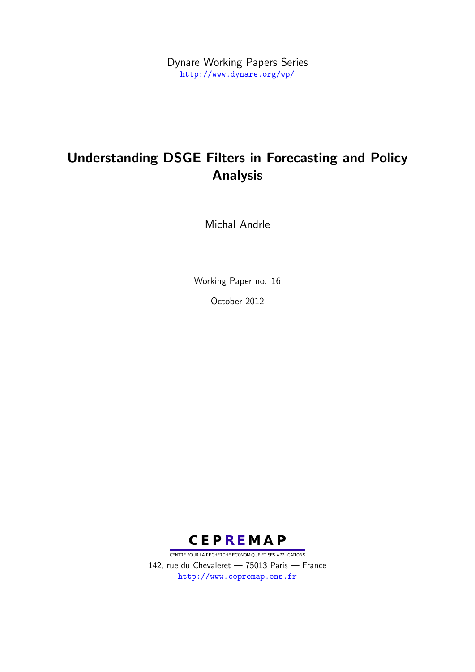Dynare Working Papers Series <http://www.dynare.org/wp/>

# Understanding DSGE Filters in Forecasting and Policy Analysis

Michal Andrle

Working Paper no. 16 October 2012



CENTRE POUR LA RECHERCHE ECONOMIQUE ET SES APPLICATIONS 142, rue du Chevaleret — 75013 Paris — France <http://www.cepremap.ens.fr>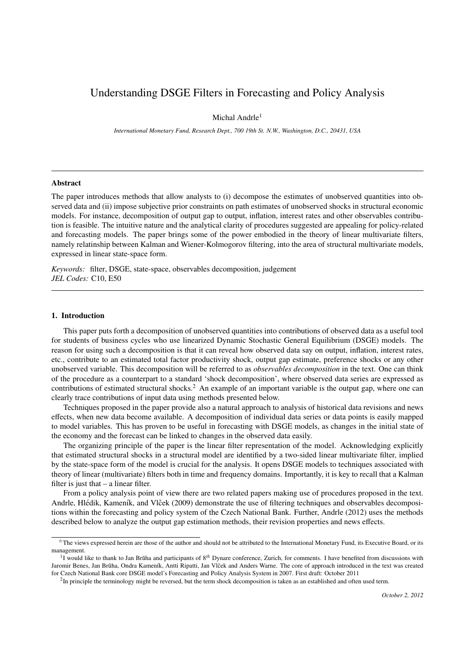# Understanding DSGE Filters in Forecasting and Policy Analysis

Michal Andrle<sup>1</sup>

*International Monetary Fund, Research Dept., 700 19th St. N.W., Washington, D.C., 20431, USA*

## Abstract

The paper introduces methods that allow analysts to (i) decompose the estimates of unobserved quantities into observed data and (ii) impose subjective prior constraints on path estimates of unobserved shocks in structural economic models. For instance, decomposition of output gap to output, inflation, interest rates and other observables contribution is feasible. The intuitive nature and the analytical clarity of procedures suggested are appealing for policy-related and forecasting models. The paper brings some of the power embodied in the theory of linear multivariate filters, namely relatinship between Kalman and Wiener-Kolmogorov filtering, into the area of structural multivariate models, expressed in linear state-space form.

*Keywords:* filter, DSGE, state-space, observables decomposition, judgement *JEL Codes:* C10, E50

#### 1. Introduction

This paper puts forth a decomposition of unobserved quantities into contributions of observed data as a useful tool for students of business cycles who use linearized Dynamic Stochastic General Equilibrium (DSGE) models. The reason for using such a decomposition is that it can reveal how observed data say on output, inflation, interest rates, etc., contribute to an estimated total factor productivity shock, output gap estimate, preference shocks or any other unobserved variable. This decomposition will be referred to as *observables decomposition* in the text. One can think of the procedure as a counterpart to a standard 'shock decomposition', where observed data series are expressed as contributions of estimated structural shocks.<sup>2</sup> An example of an important variable is the output gap, where one can clearly trace contributions of input data using methods presented below.

Techniques proposed in the paper provide also a natural approach to analysis of historical data revisions and news effects, when new data become available. A decomposition of individual data series or data points is easily mapped to model variables. This has proven to be useful in forecasting with DSGE models, as changes in the initial state of the economy and the forecast can be linked to changes in the observed data easily.

The organizing principle of the paper is the linear filter representation of the model. Acknowledging explicitly that estimated structural shocks in a structural model are identified by a two-sided linear multivariate filter, implied by the state-space form of the model is crucial for the analysis. It opens DSGE models to techniques associated with theory of linear (multivariate) filters both in time and frequency domains. Importantly, it is key to recall that a Kalman filter is just that – a linear filter.

From a policy analysis point of view there are two related papers making use of procedures proposed in the text. Andrle, Hlédik, Kameník, and Vlček (2009) demonstrate the use of filtering techniques and observables decompositions within the forecasting and policy system of the Czech National Bank. Further, Andrle (2012) uses the methods described below to analyze the output gap estimation methods, their revision properties and news effects.

<sup>✩</sup>The views expressed herein are those of the author and should not be attributed to the International Monetary Fund, its Executive Board, or its management.

<sup>&</sup>lt;sup>1</sup>I would like to thank to Jan Brŭha and participants of 8<sup>th</sup> Dynare conference, Zurich, for comments. I have benefited from discussions with Jaromir Benes, Jan Brŭha, Ondra Kameník, Antti Ripatti, Jan Vlček and Anders Warne. The core of approach introduced in the text was created for Czech National Bank core DSGE model's Forecasting and Policy Analysis System in 2007. First draft: October 2011

 ${}^{2}$ In principle the terminology might be reversed, but the term shock decomposition is taken as an established and often used term.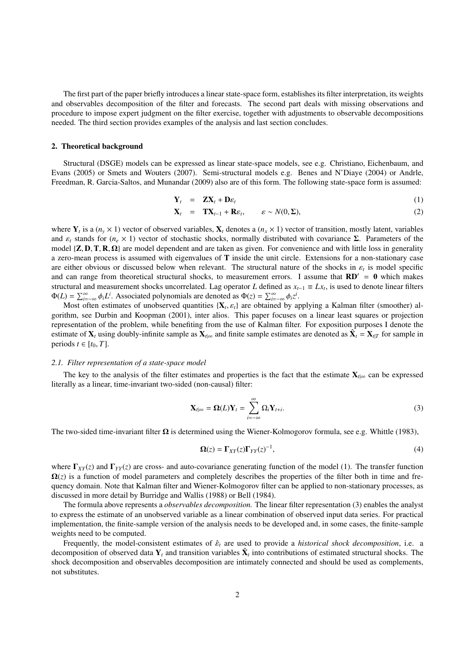The first part of the paper briefly introduces a linear state-space form, establishes its filter interpretation, its weights and observables decomposition of the filter and forecasts. The second part deals with missing observations and procedure to impose expert judgment on the filter exercise, together with adjustments to observable decompositions needed. The third section provides examples of the analysis and last section concludes.

#### 2. Theoretical background

Structural (DSGE) models can be expressed as linear state-space models, see e.g. Christiano, Eichenbaum, and Evans (2005) or Smets and Wouters (2007). Semi-structural models e.g. Benes and N'Diaye (2004) or Andrle, Freedman, R. Garcia-Saltos, and Munandar (2009) also are of this form. The following state-space form is assumed:

$$
\mathbf{Y}_t = \mathbf{Z}\mathbf{X}_t + \mathbf{D}\varepsilon_t \tag{1}
$$

$$
\mathbf{X}_t = \mathbf{TX}_{t-1} + \mathbf{R}\varepsilon_t, \qquad \varepsilon \sim N(0, \Sigma), \tag{2}
$$

where  $Y_t$  is a  $(n_y \times 1)$  vector of observed variables,  $X_t$  denotes a  $(n_x \times 1)$  vector of transition, mostly latent, variables and  $\varepsilon_t$  stands for  $(n_e \times 1)$  vector of stochastic shocks, normally distributed with covariance  $\Sigma$ . Parameters of the model  $\{Z, D, T, R, \Omega\}$  are model dependent and are taken as given. For convenience and with little loss in generality a zero-mean process is assumed with eigenvalues of T inside the unit circle. Extensions for a non-stationary case are either obvious or discussed below when relevant. The structural nature of the shocks in  $\varepsilon_t$  is model specific<br>and can range from theoretical structural shocks, to measurement errors. I assume that  $\mathbf{R}\mathbf{D}' = \mathbf{$ and can range from theoretical structural shocks, to measurement errors. I assume that  $RD' = 0$  which makes structural and measurement shocks uncorrelated. Lag operator *L* defined as  $x_{t-1} \equiv Lx_t$ , is used to denote linear filters  $\Phi(L) = \sum_{i=-\infty}^{\infty} \phi_i L^i$ . Associated polynomials are denoted as  $\Phi(z) = \sum_{i=-\infty}^{\infty} \phi_i z^i$ .<br>Most often estimates of unobserved quantities  $J\mathbf{X}$ , s are obtained by an

Most often estimates of unobserved quantities  $\{X_t, \varepsilon_t\}$  are obtained by applying a Kalman filter (smoother) al-<br>ithm see Durbin and Koopman (2001) inter alios. This paper focuses on a linear least squares or projecti gorithm, see Durbin and Koopman (2001), inter alios. This paper focuses on a linear least squares or projection representation of the problem, while benefiting from the use of Kalman filter. For exposition purposes I denote the estimate of  $X_t$  using doubly-infinite sample as  $X_t$ <sub>l∞</sub> and finite sample estimates are denoted as  $\hat{X}_t = X_{t|T}$  for sample in periods  $t \in [t_0, T]$ .

#### *2.1. Filter representation of a state-space model*

The key to the analysis of the filter estimates and properties is the fact that the estimate  $X_{t|00}$  can be expressed literally as a linear, time-invariant two-sided (non-causal) filter:

$$
\mathbf{X}_{t|\infty} = \mathbf{\Omega}(L)\mathbf{Y}_t = \sum_{i=-\infty}^{\infty} \mathbf{\Omega}_i \mathbf{Y}_{t+i}.
$$
 (3)

The two-sided time-invariant filter  $\Omega$  is determined using the Wiener-Kolmogorov formula, see e.g. Whittle (1983),

$$
\Omega(z) = \Gamma_{XY}(z)\Gamma_{YY}(z)^{-1},\tag{4}
$$

where  $\Gamma_{XY}(z)$  and  $\Gamma_{YY}(z)$  are cross- and auto-covariance generating function of the model (1). The transfer function  $\Omega(z)$  is a function of model parameters and completely describes the properties of the filter both in time and frequency domain. Note that Kalman filter and Wiener-Kolmogorov filter can be applied to non-stationary processes, as discussed in more detail by Burridge and Wallis (1988) or Bell (1984).

The formula above represents a *observables decomposition.* The linear filter representation (3) enables the analyst to express the estimate of an unobserved variable as a linear combination of observed input data series. For practical implementation, the finite-sample version of the analysis needs to be developed and, in some cases, the finite-sample weights need to be computed.

Frequently, the model-consistent estimates of ˆε*<sup>t</sup>* are used to provide a *historical shock decomposition*, i.e. a decomposition of observed data  $Y_t$  and transition variables  $\hat{X}_t$  into contributions of estimated structural shocks. The shock decomposition and observables decomposition are intimately connected and should be used as complements, not substitutes.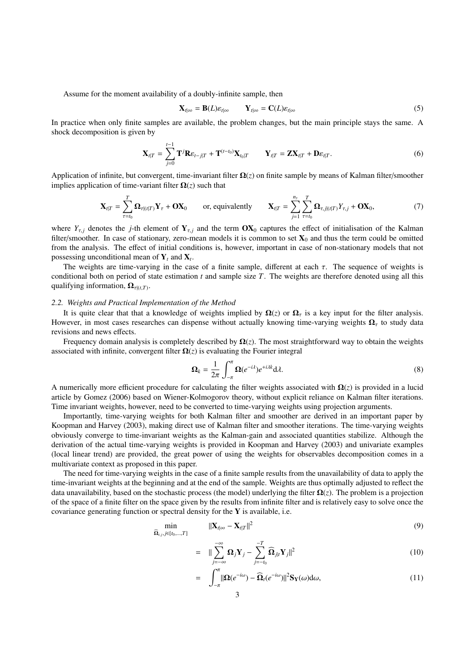Assume for the moment availability of a doubly-infinite sample, then

$$
\mathbf{X}_{t|\infty} = \mathbf{B}(L)\varepsilon_{t|\infty} \qquad \mathbf{Y}_{t|\infty} = \mathbf{C}(L)\varepsilon_{t|\infty} \tag{5}
$$

In practice when only finite samples are available, the problem changes, but the main principle stays the same. A shock decomposition is given by

$$
\mathbf{X}_{t|T} = \sum_{j=0}^{t-1} \mathbf{T}^j \mathbf{R} \varepsilon_{t-j|T} + \mathbf{T}^{(t-t_0)} \mathbf{X}_{t_0|T} \qquad \mathbf{Y}_{t|T} = \mathbf{Z} \mathbf{X}_{t|T} + \mathbf{D} \varepsilon_{t|T}.
$$
 (6)

Application of infinite, but convergent, time-invariant filter Ω(*z*) on finite sample by means of Kalman filter/smoother implies application of time-variant filter  $\Omega(z)$  such that

$$
\mathbf{X}_{t|T} = \sum_{\tau=t_0}^{T} \mathbf{\Omega}_{\tau|(t|T)} \mathbf{Y}_{\tau} + \mathbf{O} \mathbf{X}_0 \quad \text{or, equivalently} \quad \mathbf{X}_{t|T} = \sum_{j=1}^{n_y} \sum_{\tau=t_0}^{T} \mathbf{\Omega}_{\tau,j|(t|T)} Y_{\tau,j} + \mathbf{O} \mathbf{X}_0, \tag{7}
$$

where  $Y_{\tau,j}$  denotes the *j*-th element of  $Y_{\tau,j}$  and the term  $OX_0$  captures the effect of initialisation of the Kalman filter/smoother. In case of stationary, zero-mean models it is common to set  $X_0$  and thus the term could be omitted from the analysis. The effect of initial conditions is, however, important in case of non-stationary models that not possessing unconditional mean of  $Y_t$  and  $X_t$ .

The weights are time-varying in the case of a finite sample, different at each  $\tau$ . The sequence of weights is conditional both on period of state estimation *t* and sample size *T*. The weights are therefore denoted using all this qualifying information,  $\Omega_{\tau|(t,T)}$ .

#### *2.2. Weights and Practical Implementation of the Method*

It is quite clear that that a knowledge of weights implied by  $\Omega(z)$  or  $\Omega<sub>r</sub>$  is a key input for the filter analysis. However, in most cases researches can dispense without actually knowing time-varying weights  $\Omega<sub>r</sub>$  to study data revisions and news effects.

Frequency domain analysis is completely described by  $\Omega(z)$ . The most straightforward way to obtain the weights associated with infinite, convergent filter  $\Omega(z)$  is evaluating the Fourier integral

$$
\Omega_k = \frac{1}{2\pi} \int_{-\pi}^{\pi} \Omega(e^{-i\lambda}) e^{+i\lambda k} d\lambda.
$$
\n(8)

A numerically more efficient procedure for calculating the filter weights associated with  $\Omega(z)$  is provided in a lucid article by Gomez (2006) based on Wiener-Kolmogorov theory, without explicit reliance on Kalman filter iterations. Time invariant weights, however, need to be converted to time-varying weights using projection arguments.

Importantly, time-varying weights for both Kalman filter and smoother are derived in an important paper by Koopman and Harvey (2003), making direct use of Kalman filter and smoother iterations. The time-varying weights obviously converge to time-invariant weights as the Kalman-gain and associated quantities stabilize. Although the derivation of the actual time-varying weights is provided in Koopman and Harvey (2003) and univariate examples (local linear trend) are provided, the great power of using the weights for observables decomposition comes in a multivariate context as proposed in this paper.

The need for time-varying weights in the case of a finite sample results from the unavailability of data to apply the time-invariant weights at the beginning and at the end of the sample. Weights are thus optimally adjusted to reflect the data unavailability, based on the stochastic process (the model) underlying the filter  $\Omega(z)$ . The problem is a projection of the space of a finite filter on the space given by the results from infinite filter and is relatively easy to solve once the covariance generating function or spectral density for the  $Y$  is available, i.e.

$$
\min_{\widehat{\mathbf{\Omega}}_{t,j},j\in[t_0,\ldots,T]} \qquad \|\mathbf{X}_{t|\infty} - \mathbf{X}_{t|T}\|^2 \tag{9}
$$

$$
= \|\sum_{j=-\infty}^{-\infty} \mathbf{\Omega}_j \mathbf{Y}_j - \sum_{j=-t_0}^{-T} \widehat{\mathbf{\Omega}}_{j|t} \mathbf{Y}_j\|^2
$$
(10)

$$
= \int_{-\pi}^{\pi} \|\Omega(e^{-i\omega}) - \widehat{\Omega}_t(e^{-i\omega})\|^2 \mathbf{S}_{\mathbf{Y}}(\omega) d\omega, \tag{11}
$$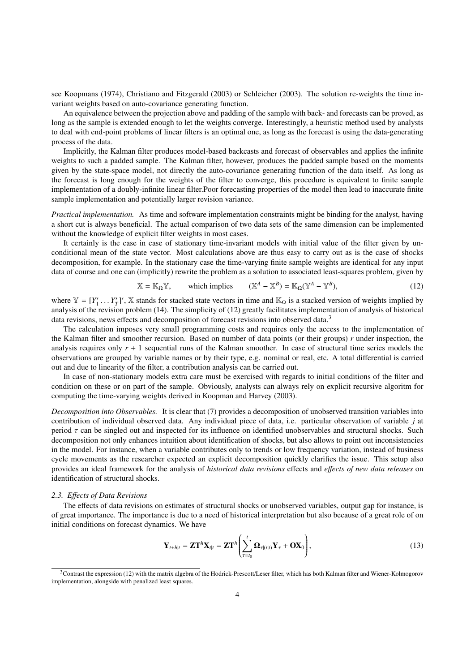see Koopmans (1974), Christiano and Fitzgerald (2003) or Schleicher (2003). The solution re-weights the time invariant weights based on auto-covariance generating function.

An equivalence between the projection above and padding of the sample with back- and forecasts can be proved, as long as the sample is extended enough to let the weights converge. Interestingly, a heuristic method used by analysts to deal with end-point problems of linear filters is an optimal one, as long as the forecast is using the data-generating process of the data.

Implicitly, the Kalman filter produces model-based backcasts and forecast of observables and applies the infinite weights to such a padded sample. The Kalman filter, however, produces the padded sample based on the moments given by the state-space model, not directly the auto-covariance generating function of the data itself. As long as the forecast is long enough for the weights of the filter to converge, this procedure is equivalent to finite sample implementation of a doubly-infinite linear filter.Poor forecasting properties of the model then lead to inaccurate finite sample implementation and potentially larger revision variance.

*Practical implementation.* As time and software implementation constraints might be binding for the analyst, having a short cut is always beneficial. The actual comparison of two data sets of the same dimension can be implemented without the knowledge of explicit filter weights in most cases.

It certainly is the case in case of stationary time-invariant models with initial value of the filter given by unconditional mean of the state vector. Most calculations above are thus easy to carry out as is the case of shocks decomposition, for example. In the stationary case the time-varying finite sample weights are identical for any input data of course and one can (implicitly) rewrite the problem as a solution to associated least-squares problem, given by

$$
\mathbb{X} = \mathbb{K}_{\Omega} \mathbb{Y}, \qquad \text{which implies} \qquad (\mathbb{X}^A - \mathbb{X}^B) = \mathbb{K}_{\Omega} (\mathbb{Y}^A - \mathbb{Y}^B), \tag{12}
$$

where  $\mathbb{Y} = [Y_1' \dots Y_T']'$ ,  $\mathbb{X}$  stands for stacked state vectors in time and  $\mathbb{K}_{\Omega}$  is a stacked version of weights implied by analysis of the revision problem (14). The simplicity of (12) greatly facilitates im analysis of the revision problem (14). The simplicity of (12) greatly facilitates implementation of analysis of historical data revisions, news effects and decomposition of forecast revisions into observed data.<sup>3</sup>

The calculation imposes very small programming costs and requires only the access to the implementation of the Kalman filter and smoother recursion. Based on number of data points (or their groups) *r* under inspection, the analysis requires only  $r + 1$  sequential runs of the Kalman smoother. In case of structural time series models the observations are grouped by variable names or by their type, e.g. nominal or real, etc. A total differential is carried out and due to linearity of the filter, a contribution analysis can be carried out.

In case of non-stationary models extra care must be exercised with regards to initial conditions of the filter and condition on these or on part of the sample. Obviously, analysts can always rely on explicit recursive algoritm for computing the time-varying weights derived in Koopman and Harvey (2003).

*Decomposition into Observables.* It is clear that (7) provides a decomposition of unobserved transition variables into contribution of individual observed data. Any individual piece of data, i.e. particular observation of variable *j* at period  $\tau$  can be singled out and inspected for its influence on identified unobservables and structural shocks. Such decomposition not only enhances intuition about identification of shocks, but also allows to point out inconsistencies in the model. For instance, when a variable contributes only to trends or low frequency variation, instead of business cycle movements as the researcher expected an explicit decomposition quickly clarifies the issue. This setup also provides an ideal framework for the analysis of *historical data revisions* effects and *e*ff*ects of new data releases* on identification of structural shocks.

# *2.3. E*ff*ects of Data Revisions*

The effects of data revisions on estimates of structural shocks or unobserved variables, output gap for instance, is of great importance. The importance is due to a need of historical interpretation but also because of a great role of on initial conditions on forecast dynamics. We have

$$
\mathbf{Y}_{t+h|t} = \mathbf{Z}\mathbf{T}^h \mathbf{X}_{t|t} = \mathbf{Z}\mathbf{T}^h \left( \sum_{\tau=t_0}^t \mathbf{\Omega}_{\tau|(t|t)} \mathbf{Y}_{\tau} + \mathbf{OX}_0 \right),
$$
\n(13)

 $3$ Contrast the expression (12) with the matrix algebra of the Hodrick-Prescott/Leser filter, which has both Kalman filter and Wiener-Kolmogorov implementation, alongside with penalized least squares.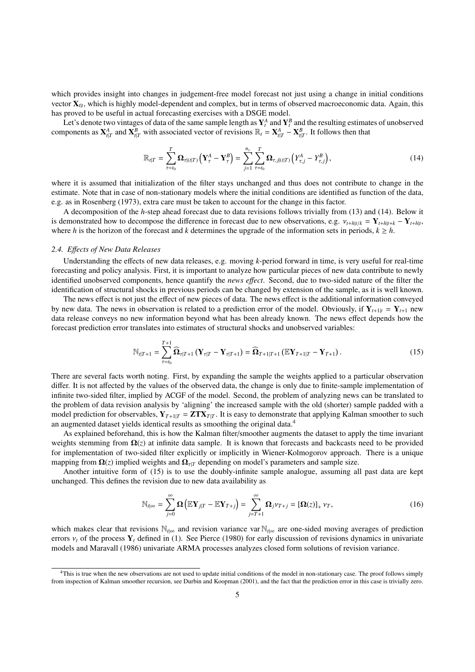which provides insight into changes in judgement-free model forecast not just using a change in initial conditions vector  $X_{t|t}$ , which is highly model-dependent and complex, but in terms of observed macroeconomic data. Again, this has proved to be useful in actual forecasting exercises with a DSGE model.

Let's denote two vintages of data of the same sample length as  $Y^A_t$  and  $Y^B_t$  and the resulting estimates of unobserved components as  $X_{t|T}^A$  and  $X_{t|T}^B$  with associated vector of revisions  $\mathbb{R}_t = X_{t|T}^A - X_{t|T}^B$ . It follows then that

$$
\mathbb{R}_{t|T} = \sum_{\tau=t_0}^{T} \mathbf{\Omega}_{\tau|(t|T)} \left( \mathbf{Y}_{\tau}^{A} - \mathbf{Y}_{\tau}^{B} \right) = \sum_{j=1}^{n_y} \sum_{\tau=t_0}^{T} \mathbf{\Omega}_{\tau,j|(t|T)} \left( Y_{\tau,j}^{A} - Y_{\tau,j}^{B} \right), \tag{14}
$$

where it is assumed that initialization of the filter stays unchanged and thus does not contribute to change in the estimate. Note that in case of non-stationary models where the initial conditions are identified as function of the data, e.g. as in Rosenberg (1973), extra care must be taken to account for the change in this factor.

A decomposition of the *h*-step ahead forecast due to data revisions follows trivially from (13) and (14). Below it is demonstrated how to decompose the difference in forecast due to new observations, e.g.  $v_{t+h|t/k} = Y_{t+h|t+k} - Y_{t+h|t}$ , where *h* is the horizon of the forecast and *k* determines the upgrade of the information sets in per where *h* is the horizon of the forecast and *k* determines the upgrade of the information sets in periods,  $k \geq h$ .

## *2.4. E*ff*ects of New Data Releases*

Understanding the effects of new data releases, e.g. moving *k*-period forward in time, is very useful for real-time forecasting and policy analysis. First, it is important to analyze how particular pieces of new data contribute to newly identified unobserved components, hence quantify the *news e*ff*ect*. Second, due to two-sided nature of the filter the identification of structural shocks in previous periods can be changed by extension of the sample, as it is well known.

The news effect is not just the effect of new pieces of data. The news effect is the additional information conveyed by new data. The news in observation is related to a prediction error of the model. Obviously, if  $Y_{t+1|t} = Y_{t+1}$  new data release conveys no new information beyond what has been already known. The news effect depends how the forecast prediction error translates into estimates of structural shocks and unobserved variables:

$$
\mathbb{N}_{t|T+1} = \sum_{\tau=t_0}^{T+1} \widehat{\Omega}_{\tau|T+1} \left( \mathbf{Y}_{\tau|T} - \mathbf{Y}_{\tau|T+1} \right) = \widehat{\Omega}_{T+1|T+1} \left( \mathbb{E} \mathbf{Y}_{T+1|T} - \mathbf{Y}_{T+1} \right). \tag{15}
$$

There are several facts worth noting. First, by expanding the sample the weights applied to a particular observation differ. It is not affected by the values of the observed data, the change is only due to finite-sample implementation of infinite two-sided filter, implied by ACGF of the model. Second, the problem of analyzing news can be translated to the problem of data revision analysis by 'aligning' the increased sample with the old (shorter) sample padded with a model prediction for observables,  $Y_{T+1|T} = ZTX_{T|T}$ . It is easy to demonstrate that applying Kalman smoother to such an augmented dataset yields identical results as smoothing the original data.<sup>4</sup>

As explained beforehand, this is how the Kalman filter/smoother augments the dataset to apply the time invariant weights stemming from  $\Omega(z)$  at infinite data sample. It is known that forecasts and backcasts need to be provided for implementation of two-sided filter explicitly or implicitly in Wiener-Kolmogorov approach. There is a unique mapping from  $\Omega(z)$  implied weights and  $\Omega_{\tau|T}$  depending on model's parameters and sample size.

Another intuitive form of (15) is to use the doubly-infinite sample analogue, assuming all past data are kept unchanged. This defines the revision due to new data availability as

$$
\mathbb{N}_{t|\infty} = \sum_{j=0}^{\infty} \mathbf{\Omega} \left( \mathbb{E} \mathbf{Y}_{j|T} - \mathbb{E} \mathbf{Y}_{T+j} \right) = \sum_{j=T+1}^{\infty} \mathbf{\Omega}_{j} \nu_{T+j} = [\mathbf{\Omega}(z)]_{+} \nu_{T}, \tag{16}
$$

which makes clear that revisions N<sub>t</sub><sub>l∞</sub> and revision variance var N<sub>t</sub><sub>l∞</sub> are one-sided moving averages of prediction errors <sup>ν</sup>*<sup>t</sup>* of the process <sup>Y</sup>*<sup>t</sup>* defined in (1). See Pierce (1980) for early discussion of revisions dynamics in univariate models and Maravall (1986) univariate ARMA processes analyzes closed form solutions of revision variance.

<sup>4</sup>This is true when the new observations are not used to update initial conditions of the model in non-stationary case. The proof follows simply from inspection of Kalman smoother recursion, see Durbin and Koopman (2001), and the fact that the prediction error in this case is trivially zero.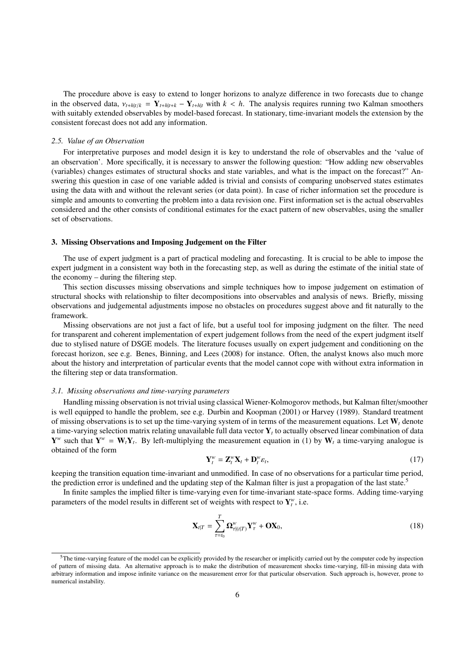The procedure above is easy to extend to longer horizons to analyze difference in two forecasts due to change in the observed data,  $v_{t+h|t/k} = \mathbf{Y}_{t+h|t+k} - \mathbf{Y}_{t+h|t}$  with  $k < h$ . The analysis requires running two Kalman smoothers with suitably extended observables by model-based forecast. In stationary, time-invariant models the extension by the consistent forecast does not add any information.

#### *2.5. Value of an Observation*

For interpretative purposes and model design it is key to understand the role of observables and the 'value of an observation'. More specifically, it is necessary to answer the following question: "How adding new observables (variables) changes estimates of structural shocks and state variables, and what is the impact on the forecast?" Answering this question in case of one variable added is trivial and consists of comparing unobserved states estimates using the data with and without the relevant series (or data point). In case of richer information set the procedure is simple and amounts to converting the problem into a data revision one. First information set is the actual observables considered and the other consists of conditional estimates for the exact pattern of new observables, using the smaller set of observations.

#### 3. Missing Observations and Imposing Judgement on the Filter

The use of expert judgment is a part of practical modeling and forecasting. It is crucial to be able to impose the expert judgment in a consistent way both in the forecasting step, as well as during the estimate of the initial state of the economy – during the filtering step.

This section discusses missing observations and simple techniques how to impose judgement on estimation of structural shocks with relationship to filter decompositions into observables and analysis of news. Briefly, missing observations and judgemental adjustments impose no obstacles on procedures suggest above and fit naturally to the framework.

Missing observations are not just a fact of life, but a useful tool for imposing judgment on the filter. The need for transparent and coherent implementation of expert judgement follows from the need of the expert judgment itself due to stylised nature of DSGE models. The literature focuses usually on expert judgement and conditioning on the forecast horizon, see e.g. Benes, Binning, and Lees (2008) for instance. Often, the analyst knows also much more about the history and interpretation of particular events that the model cannot cope with without extra information in the filtering step or data transformation.

#### *3.1. Missing observations and time-varying parameters*

Handling missing observation is not trivial using classical Wiener-Kolmogorov methods, but Kalman filter/smoother is well equipped to handle the problem, see e.g. Durbin and Koopman (2001) or Harvey (1989). Standard treatment of missing observations is to set up the time-varying system of in terms of the measurement equations. Let  $W_t$  denote a time-varying selection matrix relating unavailable full data vector Y*<sup>t</sup>* to actually observed linear combination of data  $Y^w$  such that  $Y^w = W_t Y_t$ . By left-multiplying the measurement equation in (1) by  $W_t$  a time-varying analogue is obtained of the form

$$
\mathbf{Y}_t^w = \mathbf{Z}_t^w \mathbf{X}_t + \mathbf{D}_t^w \varepsilon_t, \tag{17}
$$

keeping the transition equation time-invariant and unmodified. In case of no observations for a particular time period, the prediction error is undefined and the updating step of the Kalman filter is just a propagation of the last state.<sup>5</sup>

In finite samples the implied filter is time-varying even for time-invariant state-space forms. Adding time-varying parameters of the model results in different set of weights with respect to  $Y_t^w$ , i.e.

$$
\mathbf{X}_{t|T} = \sum_{\tau=t_0}^{T} \mathbf{\Omega}_{\tau|(t|T)}^W \mathbf{Y}_{\tau}^W + \mathbf{OX}_0, \qquad (18)
$$

 $5$ The time-varying feature of the model can be explicitly provided by the researcher or implicitly carried out by the computer code by inspection of pattern of missing data. An alternative approach is to make the distribution of measurement shocks time-varying, fill-in missing data with arbitrary information and impose infinite variance on the measurement error for that particular observation. Such approach is, however, prone to numerical instability.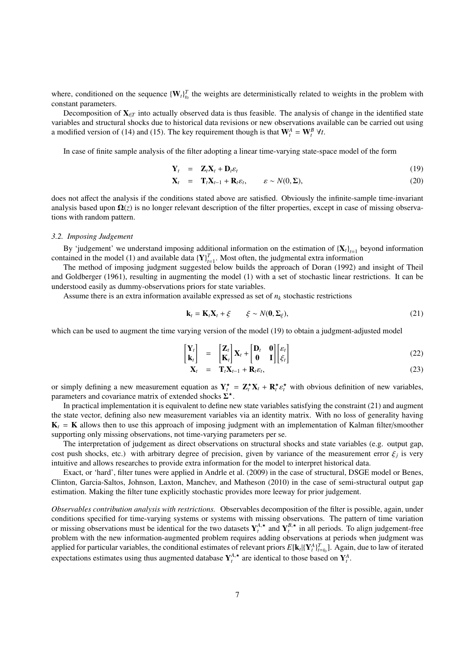where, conditioned on the sequence  ${W_t}_{t_0}^T$  the weights are deterministically related to weights in the problem with constant parameters.

Decomposition of  ${\bf X}_{t|T}$  into actually observed data is thus feasible. The analysis of change in the identified state variables and structural shocks due to historical data revisions or new observations available can be carried out using a modified version of (14) and (15). The key requirement though is that  $\mathbf{W}_t^A = \mathbf{W}_t^B \forall t$ .

In case of finite sample analysis of the filter adopting a linear time-varying state-space model of the form

$$
\mathbf{Y}_t = \mathbf{Z}_t \mathbf{X}_t + \mathbf{D}_t \varepsilon_t \tag{19}
$$

$$
\mathbf{X}_t = \mathbf{T}_t \mathbf{X}_{t-1} + \mathbf{R}_t \varepsilon_t, \qquad \varepsilon \sim N(0, \Sigma), \tag{20}
$$

does not affect the analysis if the conditions stated above are satisfied. Obviously the infinite-sample time-invariant analysis based upon  $\Omega(z)$  is no longer relevant description of the filter properties, except in case of missing observations with random pattern.

#### *3.2. Imposing Judgement*

By 'judgement' we understand imposing additional information on the estimation of  ${X_t}_{t=1}$  beyond information contained in the model (1) and available data  ${Y}^T_{t=1}$ . Most often, the judgmental extra information

The method of imposing judgment suggested below builds the approach of Doran (1992) and insight of Theil and Goldberger (1961), resulting in augmenting the model (1) with a set of stochastic linear restrictions. It can be understood easily as dummy-observations priors for state variables.

Assume there is an extra information available expressed as set of  $n_k$  stochastic restrictions

$$
\mathbf{k}_t = \mathbf{K}_t \mathbf{X}_t + \xi \qquad \xi \sim N(\mathbf{0}, \Sigma_{\xi}), \tag{21}
$$

which can be used to augment the time varying version of the model (19) to obtain a judgment-adjusted model

$$
\begin{bmatrix} \mathbf{Y}_t \\ \mathbf{k}_t \end{bmatrix} = \begin{bmatrix} \mathbf{Z}_t \\ \mathbf{K}_t \end{bmatrix} \mathbf{X}_t + \begin{bmatrix} \mathbf{D}_t & \mathbf{0} \\ \mathbf{0} & \mathbf{I} \end{bmatrix} \begin{bmatrix} \varepsilon_t \\ \varepsilon_t \end{bmatrix}
$$
(22)

$$
\mathbf{X}_t = \mathbf{T}_t \mathbf{X}_{t-1} + \mathbf{R}_t \varepsilon_t, \tag{23}
$$

or simply defining a new measurement equation as  $Y_t^* = Z_t^* X_t + R_t^* \varepsilon_t^*$  with obvious definition of new variables,<br>parameters and covariance matrix of extended shocks  $\overline{Y_t^*}$ parameters and covariance matrix of extended shocks  $\Sigma^*$ .

In practical implementation it is equivalent to define new state variables satisfying the constraint (21) and augment the state vector, defining also new measurement variables via an identity matrix. With no loss of generality having  $K_t$  = K allows then to use this approach of imposing judgment with an implementation of Kalman filter/smoother supporting only missing observations, not time-varying parameters per se.

The interpretation of judgement as direct observations on structural shocks and state variables (e.g. output gap, cost push shocks, etc.) with arbitrary degree of precision, given by variance of the measurement error  $\xi_j$  is very<br>intuitive and allows researches to provide extra information for the model to interpret historical data intuitive and allows researches to provide extra information for the model to interpret historical data.

Exact, or 'hard', filter tunes were applied in Andrle et al. (2009) in the case of structural, DSGE model or Benes, Clinton, Garcia-Saltos, Johnson, Laxton, Manchev, and Matheson (2010) in the case of semi-structural output gap estimation. Making the filter tune explicitly stochastic provides more leeway for prior judgement.

*Observables contribution analysis with restrictions.* Observables decomposition of the filter is possible, again, under conditions specified for time-varying systems or systems with missing observations. The pattern of time variation or missing observations must be identical for the two datasets  $Y_t^{A, \star}$  and  $Y_t^{B, \star}$  in all periods. To align judgement-free problem with the new information-augmented problem requires adding observations at periods when judgment was applied for particular variables, the conditional estimates of relevant priors  $E[k_t | {Y_t^A}_{t=t_0}^T]$ . Again, due to law of iterated expectations estimates using thus augmented database  $Y_t^{\mathcal{A}, \star}$  are identical to those based on  $Y_t^{\mathcal{A}}$ .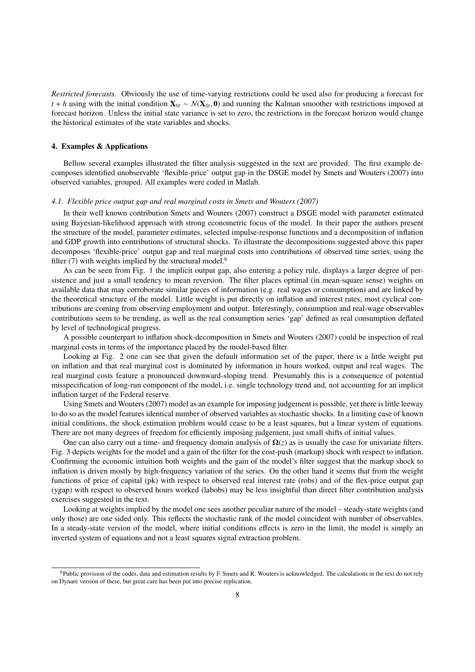*Restricted forecasts.* Obviously the use of time-varying restrictions could be used also for producing a forecast for *t* + *h* using with the initial condition  $\mathbf{X}_{t|t} \sim N(\mathbf{X}_{t|t}, \mathbf{0})$  and running the Kalman smoother with restrictions imposed at forecast horizon. Unless the initial state variance is set to zero, the restrictions forecast horizon. Unless the initial state variance is set to zero, the restrictions in the forecast horizon would change the historical estimates of the state variables and shocks.

#### 4. Examples & Applications

Bellow several examples illustrated the filter analysis suggested in the text are provided. The first example decomposes identified unobservable 'flexible-price' output gap in the DSGE model by Smets and Wouters (2007) into observed variables, grouped. All examples were coded in Matlab.

#### *4.1. Flexible price output gap and real marginal costs in Smets and Wouters (2007)*

In their well known contribution Smets and Wouters (2007) construct a DSGE model with parameter estimated using Bayesian-likelihood approach with strong econometric focus of the model. In their paper the authors present the structure of the model, parameter estimates, selected impulse-response functions and a decomposition of inflation and GDP growth into contributions of structural shocks. To illustrate the decompositions suggested above this paper decomposes 'flexible-price' output gap and real marginal costs into contributions of observed time series, using the filter  $(7)$  with weights implied by the structural model.<sup>6</sup>

As can be seen from Fig. 1 the implicit output gap, also entering a policy rule, displays a larger degree of persistence and just a small tendency to mean reversion. The filter places optimal (in mean-square sense) weights on available data that may corroborate similar pieces of information (e.g. real wages or consumption) and are linked by the theoretical structure of the model. Little weight is put directly on inflation and interest rates, most cyclical contributions are coming from observing employment and output. Interestingly, consumption and real-wage observables contributions seem to be trending, as well as the real consumption series 'gap' defined as real consumption deflated by level of technological progress.

A possible counterpart to inflation shock-decomposition in Smets and Wouters (2007) could be inspection of real marginal costs in terms of the importance placed by the model-based filter.

Looking at Fig. 2 one can see that given the default information set of the paper, there is a little weight put on inflation and that real marginal cost is dominated by information in hours worked, output and real wages. The real marginal costs feature a pronounced downward-sloping trend. Presumably this is a consequence of potential misspecification of long-run component of the model, i.e. single technology trend and, not accounting for an implicit inflation target of the Federal reserve.

Using Smets and Wouters (2007) model as an example for imposing judgement is possible, yet there is little leeway to do so as the model features identical number of observed variables as stochastic shocks. In a limiting case of known initial conditions, the shock estimation problem would cease to be a least squares, but a linear system of equations. There are not many degrees of freedom for efficiently imposing judgement, just small shifts of initial values.

One can also carry out a time- and frequency domain analysis of  $\Omega(z)$  as is usually the case for univariate filters. Fig. 3 depicts weights for the model and a gain of the filter for the cost-push (markup) shock with respect to inflation. Confirming the economic intuition both weights and the gain of the model's filter suggest that the markup shock to inflation is driven mostly by high-frequency variation of the series. On the other hand it seems that from the weight functions of price of capital (pk) with respect to observed real interest rate (robs) and of the flex-price output gap (ygap) with respect to observed hours worked (labobs) may be less insightful than direct filter contribution analysis exercises suggested in the text.

Looking at weights implied by the model one sees another peculiar nature of the model – steady-state weights (and only those) are one sided only. This reflects the stochastic rank of the model coincident with number of observables. In a steady-state version of the model, where initial conditions effects is zero in the limit, the model is simply an inverted system of equations and not a least squares signal extraction problem.

 $6P$ ublic provision of the codes, data and estimation results by F. Smets and R. Wouters is acknowledged. The calculations in the text do not rely on Dynare version of these, but great care has been put into precise replication.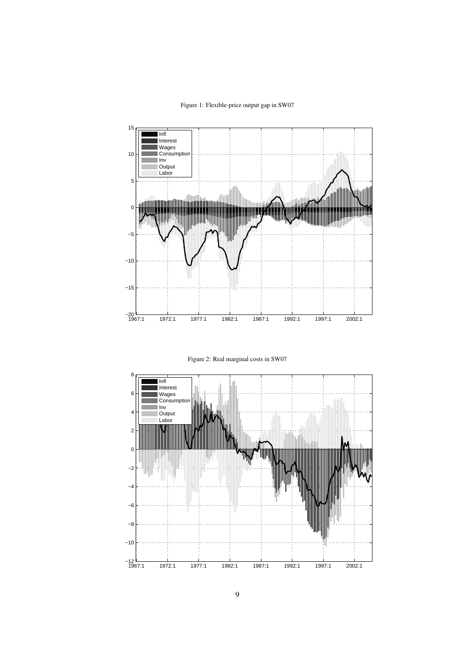# Figure 1: Flexible-price output gap in SW07





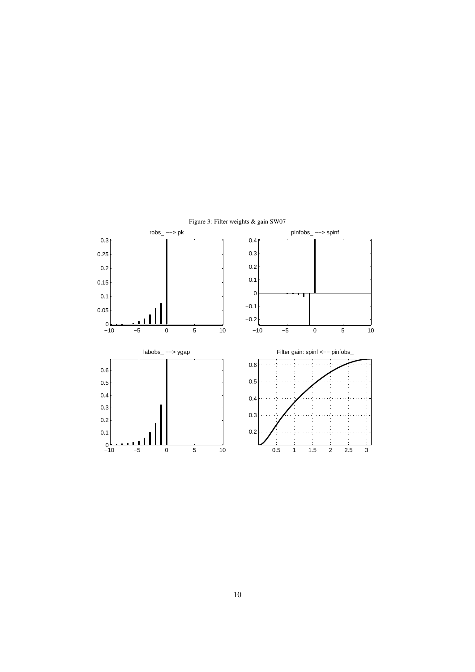

Figure 3: Filter weights & gain SW07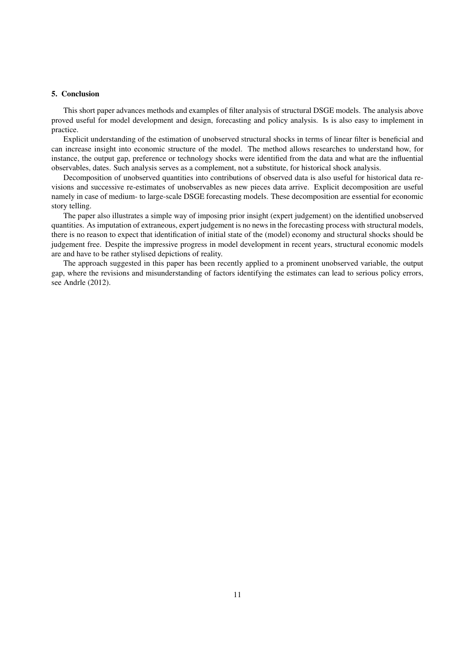# 5. Conclusion

This short paper advances methods and examples of filter analysis of structural DSGE models. The analysis above proved useful for model development and design, forecasting and policy analysis. Is is also easy to implement in practice.

Explicit understanding of the estimation of unobserved structural shocks in terms of linear filter is beneficial and can increase insight into economic structure of the model. The method allows researches to understand how, for instance, the output gap, preference or technology shocks were identified from the data and what are the influential observables, dates. Such analysis serves as a complement, not a substitute, for historical shock analysis.

Decomposition of unobserved quantities into contributions of observed data is also useful for historical data revisions and successive re-estimates of unobservables as new pieces data arrive. Explicit decomposition are useful namely in case of medium- to large-scale DSGE forecasting models. These decomposition are essential for economic story telling.

The paper also illustrates a simple way of imposing prior insight (expert judgement) on the identified unobserved quantities. As imputation of extraneous, expert judgement is no news in the forecasting process with structural models, there is no reason to expect that identification of initial state of the (model) economy and structural shocks should be judgement free. Despite the impressive progress in model development in recent years, structural economic models are and have to be rather stylised depictions of reality.

The approach suggested in this paper has been recently applied to a prominent unobserved variable, the output gap, where the revisions and misunderstanding of factors identifying the estimates can lead to serious policy errors, see Andrle (2012).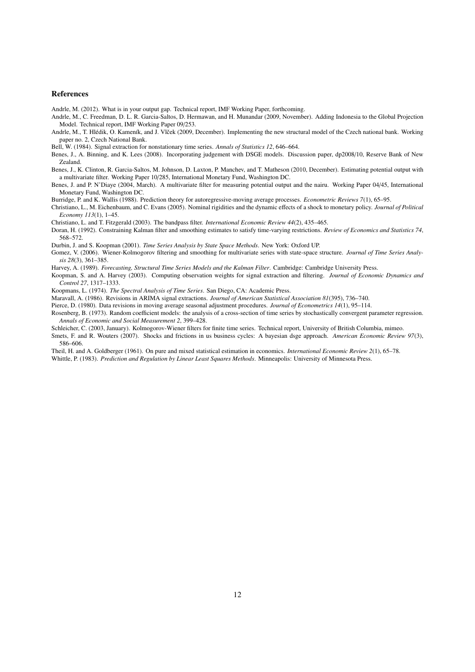#### References

Andrle, M. (2012). What is in your output gap. Technical report, IMF Working Paper, forthcoming.

- Andrle, M., C. Freedman, D. L. R. Garcia-Saltos, D. Hermawan, and H. Munandar (2009, November). Adding Indonesia to the Global Projection Model. Technical report, IMF Working Paper 09/253.
- Andrle, M., T. Hlédik, O. Kameník, and J. Vlček (2009, December). Implementing the new structural model of the Czech national bank. Working paper no. 2, Czech National Bank.
- Bell, W. (1984). Signal extraction for nonstationary time series. *Annals of Statistics 12*, 646–664.
- Benes, J., A. Binning, and K. Lees (2008). Incorporating judgement with DSGE models. Discussion paper, dp2008/10, Reserve Bank of New Zealand.
- Benes, J., K. Clinton, R. Garcia-Saltos, M. Johnson, D. Laxton, P. Manchev, and T. Matheson (2010, December). Estimating potential output with a multivariate filter. Working Paper 10/285, International Monetary Fund, Washington DC.
- Benes, J. and P. N'Diaye (2004, March). A multivariate filter for measuring potential output and the nairu. Working Paper 04/45, International Monetary Fund, Washington DC.

Burridge, P. and K. Wallis (1988). Prediction theory for autoregressive-moving average processes. *Econometric Reviews 7*(1), 65–95.

- Christiano, L., M. Eichenbaum, and C. Evans (2005). Nominal rigidities and the dynamic effects of a shock to monetary policy. *Journal of Political Economy 113*(1), 1–45.
- Christiano, L. and T. Fitzgerald (2003). The bandpass filter. *International Economic Review 44*(2), 435–465.
- Doran, H. (1992). Constraining Kalman filter and smoothing estimates to satisfy time-varying restrictions. *Review of Economics and Statistics 74*, 568–572.
- Durbin, J. and S. Koopman (2001). *Time Series Analysis by State Space Methods*. New York: Oxford UP.
- Gomez, V. (2006). Wiener-Kolmogorov filtering and smoothing for multivariate series with state-space structure. *Journal of Time Series Analysis 28*(3), 361–385.
- Harvey, A. (1989). *Forecasting, Structural Time Series Models and the Kalman Filter*. Cambridge: Cambridge University Press.
- Koopman, S. and A. Harvey (2003). Computing observation weights for signal extraction and filtering. *Journal of Economic Dynamics and Control 27*, 1317–1333.
- Koopmans, L. (1974). *The Spectral Analysis of Time Series*. San Diego, CA: Academic Press.
- Maravall, A. (1986). Revisions in ARIMA signal extractions. *Journal of American Statistical Association 81*(395), 736–740.
- Pierce, D. (1980). Data revisions in moving average seasonal adjustment procedures. *Journal of Econometrics 14*(1), 95–114.
- Rosenberg, B. (1973). Random coefficient models: the analysis of a cross-section of time series by stochastically convergent parameter regression. *Annals of Economic and Social Measurement 2*, 399–428.
- Schleicher, C. (2003, January). Kolmogorov-Wiener filters for finite time series. Technical report, University of British Columbia, mimeo.
- Smets, F. and R. Wouters (2007). Shocks and frictions in us business cycles: A bayesian dsge approach. *American Economic Review 97*(3), 586–606.
- Theil, H. and A. Goldberger (1961). On pure and mixed statistical estimation in economics. *International Economic Review 2*(1), 65–78. Whittle, P. (1983). *Prediction and Regulation by Linear Least Squares Methods*. Minneapolis: University of Minnesota Press.